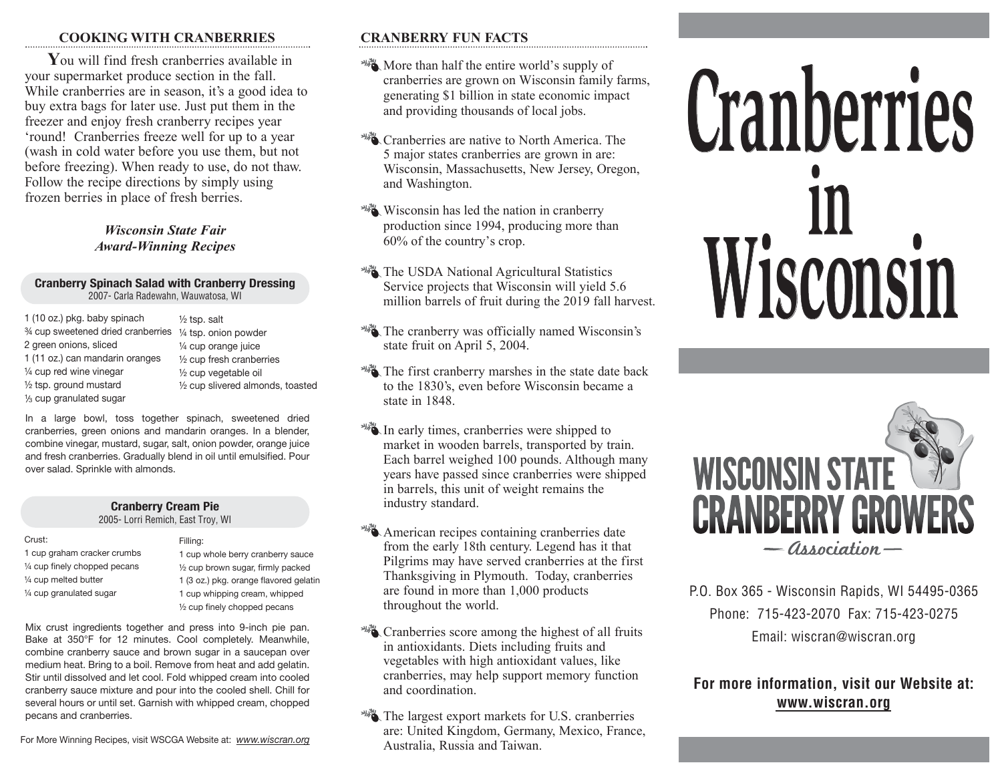#### **COOKING WITH CRANBERRIES**

**Y**ou will find fresh cranberries available in your supermarket produce section in the fall. While cranberries are in season, it's a good idea to buy extra bags for later use. Just put them in the freezer and enjoy fresh cranberry recipes year 'round! Cranberries freeze well for up to a year (wash in cold water before you use them, but not before freezing). When ready to use, do not thaw. Follow the recipe directions by simply using frozen berries in place of fresh berries.

## *Wisconsin State Fair Award-Winning Recipes*

#### **Cranberry Spinach Salad with Cranberry Dressing** 2007- Carla Radewahn, Wauwatosa, WI

1 (10 oz.) pkg. baby spinach ¾ cup sweetened dried cranberries ¼ tsp. onion powder 2 green onions, sliced 1 (11 oz.) can mandarin oranges ¼ cup red wine vinegar ½ tsp. ground mustard 1 /<sup>3</sup> cup granulated sugar

½ tsp. salt ¼ cup orange juice ½ cup fresh cranberries ½ cup vegetable oil ½ cup slivered almonds, toasted

In a large bowl, toss together spinach, sweetened dried cranberries, green onions and mandarin oranges. In a blender, combine vinegar, mustard, sugar, salt, onion powder, orange juice and fresh cranberries. Gradually blend in oil until emulsified. Pour over salad. Sprinkle with almonds.

#### **Cranberry Cream Pie** 2005- Lorri Remich, East Troy, WI

Filling: 1 cup whole berry cranberry sauce ½ cup brown sugar, firmly packed 1 (3 oz.) pkg. orange flavored gelatin 1 cup whipping cream, whipped ½ cup finely chopped pecans

Mix crust ingredients together and press into 9-inch pie pan. Bake at 350°F for 12 minutes. Cool completely. Meanwhile, combine cranberry sauce and brown sugar in a saucepan over medium heat. Bring to a boil. Remove from heat and add gelatin. Stir until dissolved and let cool. Fold whipped cream into cooled cranberry sauce mixture and pour into the cooled shell. Chill for several hours or until set. Garnish with whipped cream, chopped pecans and cranberries.

For More Winning Recipes, visit WSCGA Website at: *www.wiscran.org*

## **CRANBERRY FUN FACTS**

- More than half the entire world's supply of cranberries are grown on Wisconsin family farms, generating \$1 billion in state economic impact and providing thousands of local jobs.
- **Cranberries are native to North America. The** 5 major states cranberries are grown in are: Wisconsin, Massachusetts, New Jersey, Oregon, and Washington.
- **Wisconsin has led the nation in cranberry** production since 1994, producing more than 60% of the country's crop.
- **WA** The USDA National Agricultural Statistics Service projects that Wisconsin will yield 5.6 million barrels of fruit during the 2019 fall harvest.
- **WE** The cranberry was officially named Wisconsin's state fruit on April 5, 2004.
- The first cranberry marshes in the state date back to the 1830's, even before Wisconsin became a state in 1848.
- In early times, cranberries were shipped to market in wooden barrels, transported by train. Each barrel weighed 100 pounds. Although many years have passed since cranberries were shipped in barrels, this unit of weight remains the industry standard.
- American recipes containing cranberries date from the early 18th century. Legend has it that Pilgrims may have served cranberries at the first Thanksgiving in Plymouth. Today, cranberries are found in more than 1,000 products throughout the world.
- **Cranberries score among the highest of all fruits** in antioxidants. Diets including fruits and vegetables with high antioxidant values, like cranberries, may help support memory function and coordination.
- The largest export markets for U.S. cranberries are: United Kingdom, Germany, Mexico, France, Australia, Russia and Taiwan.

# **Cranberries in Wisconsin**



P.O. Box 365 - Wisconsin Rapids, WI 54495-0365 Phone: 715-423-2070 Fax: 715-423-0275 Email: wiscran@wiscran.org

# **For more information, visit our Website at: www.wiscran.org**